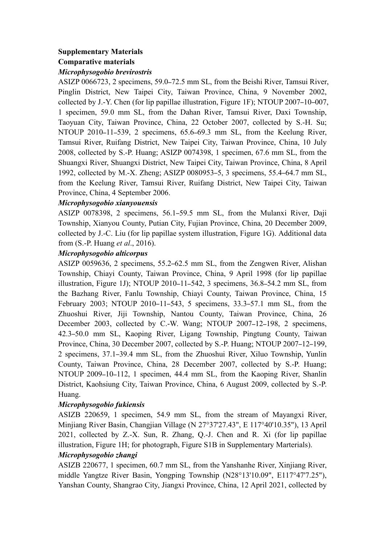# **Supplementary Materials**

## **Comparative materials**

### *Microphysogobio brevirostris*

ASIZP 0066723, 2 specimens, 59.0–72.5 mm SL, from the Beishi River, Tamsui River, Pinglin District, New Taipei City, Taiwan Province, China, 9 November 2002, collected by J.-Y. Chen (for lip papillae illustration, Figure 1F); NTOUP 2007–10–007, 1 specimen, 59.0 mm SL, from the Dahan River, Tamsui River, Daxi Township, Taoyuan City, Taiwan Province, China, 22 October 2007, collected by S.-H. Su; NTOUP 2010–11–539, 2 specimens, 65.6–69.3 mm SL, from the Keelung River, Tamsui River, Ruifang District, New Taipei City, Taiwan Province, China, 10 July 2008, collected by S.-P. Huang; ASIZP 0074398, 1 specimen, 67.6 mm SL, from the Shuangxi River, Shuangxi District, New Taipei City, Taiwan Province, China, 8 April 1992, collected by M.-X. Zheng; ASIZP 0080953–5, 3 specimens,55.4–64.7 mm SL, from the Keelung River, Tamsui River, Ruifang District, New Taipei City, Taiwan Province, China, 4 September 2006.

### *Microphysogobio xianyouensis*

ASIZP 0078398, 2 specimens, 56.1–59.5 mm SL, from the Mulanxi River, Daji Township, Xianyou County, Putian City, Fujian Province, China, 20 December 2009, collected by J.-C. Liu (for lip papillae system illustration, Figure 1G). Additional data from (S.-P. Huang *et al*., 2016).

### *Microphysogobio alticorpus*

ASIZP 0059636, 2 specimens, 55.2–62.5 mm SL, from the Zengwen River, Alishan Township, Chiayi County, Taiwan Province, China, 9 April 1998 (for lip papillae illustration, Figure 1J); NTOUP 2010-11-542, 3 specimens, 36.8-54.2 mm SL, from the Bazhang River, Fanlu Township, Chiayi County, Taiwan Province, China, 15 February 2003; NTOUP 2010–11–543, 5 specimens, 33.3–57.1 mm SL, from the Zhuoshui River, Jiji Township, Nantou County, Taiwan Province, China, 26 December 2003, collected by C.-W. Wang; NTOUP 2007–12–198, 2 specimens, 42.3-50.0 mm SL, Kaoping River, Ligang Township, Pingtung County, Taiwan Province, China, 30 December 2007, collected by S.-P. Huang; NTOUP 2007–12–199, 2 specimens, 37.1–39.4 mm SL, from the Zhuoshui River, Xiluo Township, Yunlin County, Taiwan Province, China, 28 December 2007, collected by S.-P. Huang; NTOUP 2009–10–112, 1 specimen, 44.4 mm SL, from the Kaoping River, Shanlin District, Kaohsiung City, Taiwan Province, China, 6 August 2009, collected by S.-P. Huang.

### *Microphysogobio fukiensis*

ASIZB 220659, 1 specimen, 54.9 mm SL, from the stream of Mayangxi River, Minjiang River Basin, Changjian Village (N 27°37'27.43", E 117°40'10.35"), 13 April 2021, collected by Z.-X. Sun, R. Zhang, Q.-J. Chen and R. Xi (for lip papillae illustration, Figure 1H; for photograph, Figure S1B in Supplementary Marterials). *Microphysogobio zhangi*

ASIZB 220677, 1 specimen, 60.7 mm SL, from the Yanshanhe River, Xinjiang River, middle Yangtze River Basin, Yongping Township (N28°13'10.09", E117°47'7.25"), Yanshan County, Shangrao City, Jiangxi Province, China, 12 April 2021, collected by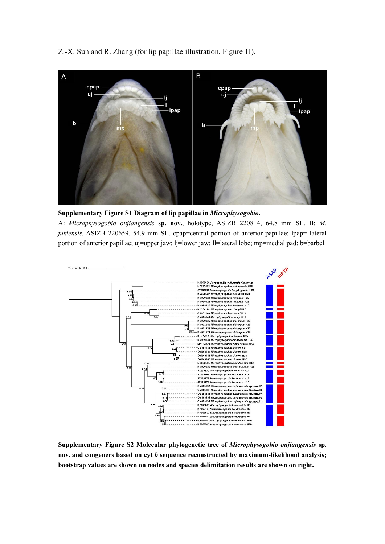Z.-X. Sun and R. Zhang (for lip papillae illustration, Figure 1I).





A: *Microphysogobio oujiangensis* **sp. nov.**, holotype, ASIZB 220814, 64.8 mm SL. B: *M. fukiensis*, ASIZB 220659, 54.9 mm SL. cpap=central portion of anterior papillae; lpap= lateral portion of anterior papillae; uj=upper jaw; lj=lower jaw; ll=lateral lobe; mp=medial pad; b=barbel.



**Supplementary Figure S2 Molecular phylogenetic tree of** *Microphysogobio oujiangensis* **sp. nov. and congeners based on cyt** *b* **sequence reconstructed by maximum-likelihood analysis; bootstrap values are shown on nodes and speciesdelimitation results are shown on right.**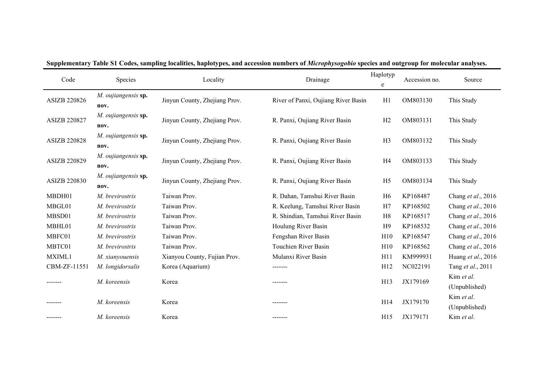| Code                | Species                     | Locality                      | Drainage                            | Haplotyp<br>e  | Accession no. | Source                      |
|---------------------|-----------------------------|-------------------------------|-------------------------------------|----------------|---------------|-----------------------------|
| ASIZB 220826        | M. oujiangensis sp.<br>nov. | Jinyun County, Zhejiang Prov. | River of Panxi, Oujiang River Basin | H1             | OM803130      | This Study                  |
| <b>ASIZB 220827</b> | M. oujiangensis sp.<br>nov. | Jinyun County, Zhejiang Prov. | R. Panxi, Oujiang River Basin       | H2             | OM803131      | This Study                  |
| <b>ASIZB 220828</b> | M. oujiangensis sp.<br>nov. | Jinyun County, Zhejiang Prov. | R. Panxi, Oujiang River Basin       | H <sub>3</sub> | OM803132      | This Study                  |
| ASIZB 220829        | M. oujiangensis sp.<br>nov. | Jinyun County, Zhejiang Prov. | R. Panxi, Oujiang River Basin       | H <sub>4</sub> | OM803133      | This Study                  |
| <b>ASIZB 220830</b> | M. oujiangensis sp.<br>nov. | Jinyun County, Zhejiang Prov. | R. Panxi, Oujiang River Basin       | H <sub>5</sub> | OM803134      | This Study                  |
| MBDH01              | M. brevirostris             | Taiwan Prov.                  | R. Dahan, Tamshui River Basin       | H <sub>6</sub> | KP168487      | Chang et al., 2016          |
| MBGL01              | M. brevirostris             | Taiwan Prov.                  | R. Keelung, Tamshui River Basin     | H7             | KP168502      | Chang et al., 2016          |
| MBSD01              | M. brevirostris             | Taiwan Prov.                  | R. Shindian, Tamshui River Basin    | H <sub>8</sub> | KP168517      | Chang et al., 2016          |
| MBHL01              | M. brevirostris             | Taiwan Prov.                  | Houlung River Basin                 | H <sub>9</sub> | KP168532      | Chang et al., 2016          |
| MBFC01              | M. brevirostris             | Taiwan Prov.                  | Fengshan River Basin                | H10            | KP168547      | Chang et al., 2016          |
| MBTC01              | M. brevirostris             | Taiwan Prov.                  | Touchien River Basin                | H10            | KP168562      | Chang et al., 2016          |
| MXIML1              | M. xianyouensis             | Xianyou County, Fujian Prov.  | Mulanxi River Basin                 | H11            | KM999931      | Huang et al., 2016          |
| CBM-ZF-11551        | M. longidorsalis            | Korea (Aquarium)              | -------                             | H12            | NC022191      | Tang et al., 2011           |
|                     | M. koreensis                | Korea                         | -------                             | H13            | JX179169      | Kim et al.<br>(Unpublished) |
|                     | M. koreensis                | Korea                         | -------                             | H14            | JX179170      | Kim et al.<br>(Unpublished) |
|                     | M. koreensis                | Korea                         | -------                             | H15            | JX179171      | Kim et al.                  |

#### Supplementary Table S1 Codes, sampling localities, haplotypes, and accession numbers of Microphysogobio species and outgroup for molecular analyses.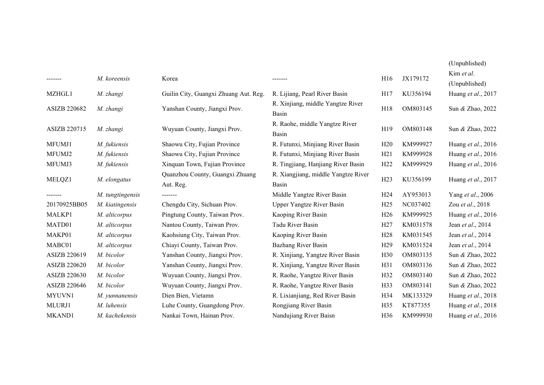|              |                  |                                              |                                              |                 |          | (Unpublished)      |
|--------------|------------------|----------------------------------------------|----------------------------------------------|-----------------|----------|--------------------|
|              |                  |                                              |                                              |                 |          | Kim et al.         |
|              | M. koreensis     | Korea                                        | -------                                      | H16             | JX179172 | (Unpublished)      |
| MZHGL1       | M. zhangi        | Guilin City, Guangxi Zhuang Aut. Reg.        | R. Lijiang, Pearl River Basin                | H17             | KU356194 | Huang et al., 2017 |
| ASIZB 220682 | M. zhangi        | Yanshan County, Jiangxi Prov.                | R. Xinjiang, middle Yangtze River<br>Basin   | H18             | OM803145 | Sun & Zhao, 2022   |
| ASIZB 220715 | M. zhangi        | Wuyuan County, Jiangxi Prov.                 | R. Raohe, middle Yangtze River<br>Basin      | H19             | OM803148 | Sun & Zhao, 2022   |
| MFUMJ1       | M. fukiensis     | Shaowu City, Fujian Province                 | R. Futunxi, Minjiang River Basin             | H20             | KM999927 | Huang et al., 2016 |
| MFUMJ2       | M. fukiensis     | Shaowu City, Fujian Province                 | R. Futunxi, Minjiang River Basin             | H21             | KM999928 | Huang et al., 2016 |
| MFUMJ3       | M. fukiensis     | Xinquan Town, Fujian Province                | R. Tingjiang, Hanjiang River Basin           | H22             | KM999929 | Huang et al., 2016 |
| MELQZ1       | M. elongatus     | Quanzhou County, Guangxi Zhuang<br>Aut. Reg. | R. Xiangjiang, middle Yangtze River<br>Basin | H23             | KU356199 | Huang et al., 2017 |
| -------      | M. tungtingensis | -------                                      | Middle Yangtze River Basin                   | H <sub>24</sub> | AY953013 | Yang et al., 2006  |
| 20170925BB05 | M. kiatingensis  | Chengdu City, Sichuan Prov.                  | Upper Yangtze River Basin                    | H <sub>25</sub> | NC037402 | Zou et al., 2018   |
| MALKP1       | M. alticorpus    | Pingtung County, Taiwan Prov.                | Kaoping River Basin                          | H <sub>26</sub> | KM999925 | Huang et al., 2016 |
| MATD01       | M. alticorpus    | Nantou County, Taiwan Prov.                  | Tadu River Basin                             | H27             | KM031578 | Jean et al., 2014  |
| MAKP01       | M. alticorpus    | Kaohsiung City, Taiwan Prov.                 | Kaoping River Basin                          | H28             | KM031545 | Jean et al., 2014  |
| MABC01       | M. alticorpus    | Chiayi County, Taiwan Prov.                  | Bazhang River Basin                          | H <sub>29</sub> | KM031524 | Jean et al., 2014  |
| ASIZB 220619 | M. bicolor       | Yanshan County, Jiangxi Prov.                | R. Xinjiang, Yangtze River Basin             | H <sub>30</sub> | OM803135 | Sun & Zhao, 2022   |
| ASIZB 220620 | M. bicolor       | Yanshan County, Jiangxi Prov.                | R. Xinjiang, Yangtze River Basin             | H31             | OM803136 | Sun & Zhao, 2022   |
| ASIZB 220630 | M. bicolor       | Wuyuan County, Jiangxi Prov.                 | R. Raohe, Yangtze River Basin                | H32             | OM803140 | Sun & Zhao, 2022   |
| ASIZB 220646 | M. bicolor       | Wuyuan County, Jiangxi Prov.                 | R. Raohe, Yangtze River Basin                | H33             | OM803141 | Sun & Zhao, 2022   |
| MYUVN1       | M. yunnanensis   | Dien Bien, Vietamn                           | R. Lixianjiang, Red River Basin              | H34             | MK133329 | Huang et al., 2018 |
| MLURJ1       | M. luhensis      | Luhe County, Guangdong Prov.                 | Rongjiang River Basin                        | H35             | KT877355 | Huang et al., 2018 |
| MKAND1       | M. kachekensis   | Nankai Town, Hainan Prov.                    | Nandujiang River Baisn                       | H <sub>36</sub> | KM999930 | Huang et al., 2016 |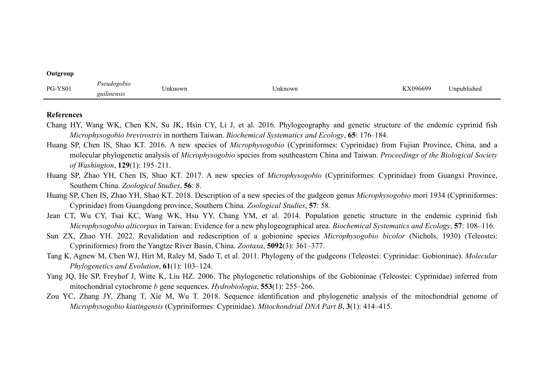| $\sim$         |                               |         |         |       |                        |
|----------------|-------------------------------|---------|---------|-------|------------------------|
| PG-<br>PG-YS01 | seudogor<br>υι<br>guilinensis | Jnknown | Jnknown | 96699 | $\cdot$<br>Inpublished |

#### **References**

**Outgroup**

- Chang HY, Wang WK, Chen KN, Su JK, Hsin CY, Li J, et al. 2016. Phylogeography and genetic structure of the endemic cyprinid fish *Microphysogobio brevirostris* in northern Taiwan. *Biochemical Systematics and Ecology*, **65**: 176–184.
- Huang SP, Chen IS, Shao KT. 2016. A new species of *Microphysogobio* (Cypriniformes: Cyprinidae) from Fujian Province, China, and a molecular phylogenetic analysis of*Microphysogobio* species from southeastern China and Taiwan. *Proceedings of the Biological Society of Washington*, **129**(1): 195–211.
- Huang SP, Zhao YH, Chen IS, Shao KT. 2017. A new species of *Microphysogobio* (Cypriniformes: Cyprinidae) from Guangxi Province, Southern China. *Zoological Studies*, **56**: 8.
- Huang SP, Chen IS, Zhao YH, Shao KT. 2018. Description of a new species of the gudgeon genus *Microphysogobio* mori 1934 (Cypriniformes: Cyprinidae) from Guangdong province, Southern China. *Zoological Studies*, **57**: 58.
- Jean CT, Wu CY, Tsai KC, Wang WK, Hsu YY, Chang YM, et al. 2014. Population genetic structure in the endemic cyprinid fish *Microphysogobio alticorpus* in Taiwan: Evidence for a new phylogeographical area. *Biochemical Systematics and Ecology*, **57**: 108–116.
- Sun ZX, Zhao YH. 2022. Revalidation and redescription of a gobionine species *Microphysogobio bicolor* (Nichols, 1930) (Teleostei: Cypriniformes) from the Yangtze River Basin, China. *Zootaxa*, **5092**(3): 361–377.
- Tang K, Agnew M, Chen WJ, Hirt M,Raley M, Sado T,et al. 2011. Phylogeny of the gudgeons (Teleostei: Cyprinidae: Gobioninae). *Molecular Phylogenetics and Evolution*, **61**(1): 103–124.
- Yang JQ, He SP, Freyhof J, Witte K, Liu HZ. 2006. The phylogenetic relationships of the Gobioninae (Teleostei: Cyprinidae) inferred from mitochondrial cytochrome *b* gene sequences. *Hydrobiologia*, **553**(1): 255–266.
- Zou YC, Zhang JY, Zhang T, Xie M, Wu T. 2018. Sequence identification and phylogenetic analysis of the mitochondrial genome of *Microphysogobio kiatingensis* (Cypriniformes: Cyprinidae). *Mitochondrial DNA Part B*, **3**(1): 414–415.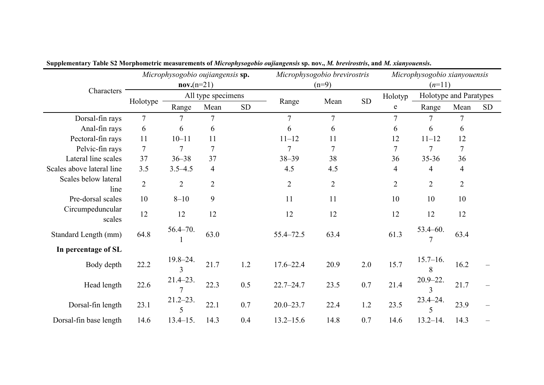|                              |                | Microphysogobio oujiangensis sp. |                |            | Microphysogobio brevirostris |                |            | Microphysogobio xianyouensis |                                |                |           |  |  |  |
|------------------------------|----------------|----------------------------------|----------------|------------|------------------------------|----------------|------------|------------------------------|--------------------------------|----------------|-----------|--|--|--|
|                              |                | $nov.(n=21)$                     |                |            |                              | $(n=9)$        |            | $(n=11)$                     |                                |                |           |  |  |  |
| Characters                   |                | All type specimens               |                |            |                              |                | ${\rm SD}$ | Holotyp                      | Holotype and Paratypes         |                |           |  |  |  |
|                              | Holotype       | Range                            | Mean           | ${\rm SD}$ | Range                        | Mean           |            | ${\bf e}$                    | Range                          | Mean           | <b>SD</b> |  |  |  |
| Dorsal-fin rays              | $\overline{7}$ |                                  |                |            | $\tau$                       | $\overline{7}$ |            | $\overline{7}$               |                                | 7              |           |  |  |  |
| Anal-fin rays                | 6              | 6                                | 6              |            | 6                            | 6              |            | 6                            | 6                              | 6              |           |  |  |  |
| Pectoral-fin rays            | 11             | $10 - 11$                        | 11             |            | $11 - 12$                    | 11             |            | 12                           | $11 - 12$                      | 12             |           |  |  |  |
| Pelvic-fin rays              | $\overline{7}$ | 7                                | 7              |            |                              |                |            | $\overline{7}$               |                                | $\tau$         |           |  |  |  |
| Lateral line scales          | 37             | $36 - 38$                        | 37             |            | $38 - 39$                    | 38             |            | 36                           | $35 - 36$                      | 36             |           |  |  |  |
| Scales above lateral line    | 3.5            | $3.5 - 4.5$                      | 4              |            | 4.5                          | 4.5            |            | 4                            | 4                              | $\overline{4}$ |           |  |  |  |
| Scales below lateral<br>line | $\overline{2}$ | $\overline{2}$                   | $\overline{2}$ |            | $\overline{2}$               | $\overline{2}$ |            | $\overline{2}$               | $\overline{2}$                 | $\overline{2}$ |           |  |  |  |
| Pre-dorsal scales            | 10             | $8 - 10$                         | 9              |            | 11                           | 11             |            | 10                           | 10                             | 10             |           |  |  |  |
| Circumpeduncular<br>scales   | 12             | 12                               | 12             |            | 12                           | 12             |            | 12                           | 12                             | 12             |           |  |  |  |
| Standard Length (mm)         | 64.8           | $56.4 - 70.$                     | 63.0           |            | 55.4 - 72.5                  | 63.4           |            | 61.3                         | $53.4 - 60.$                   | 63.4           |           |  |  |  |
| In percentage of SL          |                |                                  |                |            |                              |                |            |                              |                                |                |           |  |  |  |
| Body depth                   | 22.2           | $19.8 - 24.$<br>3                | 21.7           | 1.2        | $17.6 - 22.4$                | 20.9           | 2.0        | 15.7                         | $15.7 - 16.$<br>8              | 16.2           |           |  |  |  |
| Head length                  | 22.6           | $21.4 - 23.$                     | 22.3           | 0.5        | $22.7 - 24.7$                | 23.5           | 0.7        | 21.4                         | $20.9 - 22.$<br>$\overline{3}$ | 21.7           |           |  |  |  |
| Dorsal-fin length            | 23.1           | $21.2 - 23.$                     | 22.1           | 0.7        | $20.0 - 23.7$                | 22.4           | 1.2        | 23.5                         | $23.4 - 24.$<br>5              | 23.9           |           |  |  |  |
| Dorsal-fin base length       | 14.6           | $13.4 - 15.$                     | 14.3           | 0.4        | $13.2 - 15.6$                | 14.8           | 0.7        | 14.6                         | $13.2 - 14.$                   | 14.3           |           |  |  |  |

Supplementary Table S2 Morphometric measurements of Microphysogobio oujiangensis sp. nov., M. brevirostris, and M. xianyouensis.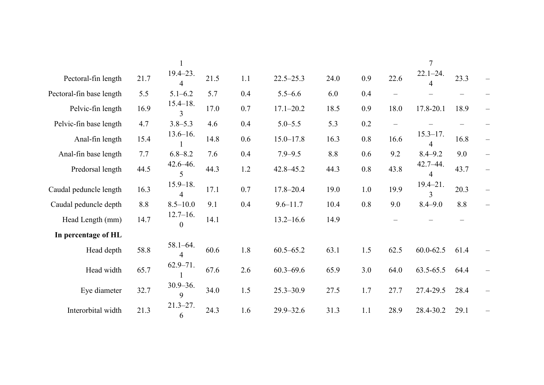|                          |      |                                  |      |         |               |      |         |                          | $\overline{7}$    |      |                          |
|--------------------------|------|----------------------------------|------|---------|---------------|------|---------|--------------------------|-------------------|------|--------------------------|
| Pectoral-fin length      | 21.7 | $19.4 - 23.$<br>4                | 21.5 | 1.1     | $22.5 - 25.3$ | 24.0 | 0.9     | 22.6                     | $22.1 - 24.$<br>4 | 23.3 | $\equiv$                 |
| Pectoral-fin base length | 5.5  | $5.1 - 6.2$                      | 5.7  | 0.4     | $5.5 - 6.6$   | 6.0  | $0.4\,$ | $\overline{\phantom{m}}$ |                   |      |                          |
| Pelvic-fin length        | 16.9 | $15.4 - 18.$<br>$\mathfrak{Z}$   | 17.0 | 0.7     | $17.1 - 20.2$ | 18.5 | 0.9     | 18.0                     | 17.8-20.1         | 18.9 | $\overline{\phantom{m}}$ |
| Pelvic-fin base length   | 4.7  | $3.8 - 5.3$                      | 4.6  | $0.4\,$ | $5.0 - 5.5$   | 5.3  | 0.2     | $\overline{\phantom{0}}$ |                   |      |                          |
| Anal-fin length          | 15.4 | $13.6 - 16.$                     | 14.8 | $0.6\,$ | $15.0 - 17.8$ | 16.3 | 0.8     | 16.6                     | $15.3 - 17.$<br>4 | 16.8 | $\overline{\phantom{m}}$ |
| Anal-fin base length     | 7.7  | $6.8 - 8.2$                      | 7.6  | $0.4\,$ | $7.9 - 9.5$   | 8.8  | 0.6     | 9.2                      | $8.4 - 9.2$       | 9.0  | $\overline{\phantom{m}}$ |
| Predorsal length         | 44.5 | $42.6 - 46.$<br>5                | 44.3 | 1.2     | 42.8 - 45.2   | 44.3 | 0.8     | 43.8                     | $42.7 - 44.$<br>4 | 43.7 | $\overline{\phantom{m}}$ |
| Caudal peduncle length   | 16.3 | $15.9 - 18.$<br>4                | 17.1 | 0.7     | $17.8 - 20.4$ | 19.0 | 1.0     | 19.9                     | $19.4 - 21.$<br>3 | 20.3 | $\overline{\phantom{m}}$ |
| Caudal peduncle depth    | 8.8  | $8.5 - 10.0$                     | 9.1  | $0.4\,$ | $9.6 - 11.7$  | 10.4 | 0.8     | 9.0                      | $8.4 - 9.0$       | 8.8  | $\overline{\phantom{m}}$ |
| Head Length (mm)         | 14.7 | $12.7 - 16.$<br>$\boldsymbol{0}$ | 14.1 |         | $13.2 - 16.6$ | 14.9 |         |                          |                   |      |                          |
| In percentage of HL      |      |                                  |      |         |               |      |         |                          |                   |      |                          |
| Head depth               | 58.8 | $58.1 - 64.$<br>4                | 60.6 | 1.8     | $60.5 - 65.2$ | 63.1 | 1.5     | 62.5                     | $60.0 - 62.5$     | 61.4 | $\overline{\phantom{m}}$ |
| Head width               | 65.7 | $62.9 - 71.$                     | 67.6 | 2.6     | $60.3 - 69.6$ | 65.9 | 3.0     | 64.0                     | 63.5-65.5         | 64.4 | $\overline{\phantom{m}}$ |
| Eye diameter             | 32.7 | $30.9 - 36.$<br>9                | 34.0 | 1.5     | $25.3 - 30.9$ | 27.5 | 1.7     | 27.7                     | 27.4-29.5         | 28.4 | $\overline{\phantom{m}}$ |
| Interorbital width       | 21.3 | $21.3 - 27.$<br>6                | 24.3 | 1.6     | $29.9 - 32.6$ | 31.3 | 1.1     | 28.9                     | 28.4-30.2         | 29.1 |                          |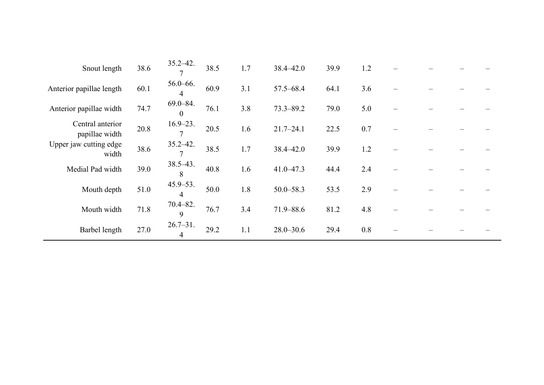| Snout length                       | 38.6 | $35.2 - 42.$                   | 38.5 | 1.7 | 38.4 - 42.0   | 39.9 | 1.2 |  |  |
|------------------------------------|------|--------------------------------|------|-----|---------------|------|-----|--|--|
| Anterior papillae length           | 60.1 | $56.0 - 66.$<br>$\overline{4}$ | 60.9 | 3.1 | 57.5-68.4     | 64.1 | 3.6 |  |  |
| Anterior papillae width            | 74.7 | $69.0 - 84.$<br>$\overline{0}$ | 76.1 | 3.8 | $73.3 - 89.2$ | 79.0 | 5.0 |  |  |
| Central anterior<br>papillae width | 20.8 | $16.9 - 23.$<br>$\overline{7}$ | 20.5 | 1.6 | $21.7 - 24.1$ | 22.5 | 0.7 |  |  |
| Upper jaw cutting edge<br>width    | 38.6 | $35.2 - 42.$<br>$\tau$         | 38.5 | 1.7 | 38.4 - 42.0   | 39.9 | 1.2 |  |  |
| Medial Pad width                   | 39.0 | $38.5 - 43.$<br>8              | 40.8 | 1.6 | $41.0 - 47.3$ | 44.4 | 2.4 |  |  |
| Mouth depth                        | 51.0 | $45.9 - 53.$<br>$\overline{4}$ | 50.0 | 1.8 | $50.0 - 58.3$ | 53.5 | 2.9 |  |  |
| Mouth width                        | 71.8 | $70.4 - 82.$<br>9              | 76.7 | 3.4 | 71.9-88.6     | 81.2 | 4.8 |  |  |
| Barbel length                      | 27.0 | $26.7 - 31.$<br>4              | 29.2 | 1.1 | $28.0 - 30.6$ | 29.4 | 0.8 |  |  |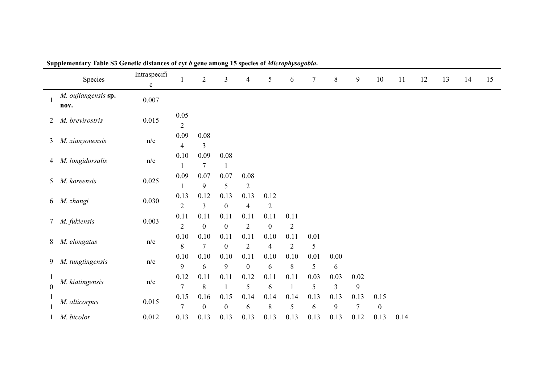| Species                           | Intraspecifi<br>$\mathbf c$ |                                  | $\overline{2}$             | $\mathfrak{Z}$           | 4                          | 5                      | 6                    | $\tau$        | $8\,$                    | 9             | $10\,$                   | 11   | 12 | 13 | 14 | 15 |
|-----------------------------------|-----------------------------|----------------------------------|----------------------------|--------------------------|----------------------------|------------------------|----------------------|---------------|--------------------------|---------------|--------------------------|------|----|----|----|----|
| M. oujiangensis sp.<br>nov.       | 0.007                       |                                  |                            |                          |                            |                        |                      |               |                          |               |                          |      |    |    |    |    |
| M. brevirostris<br>$\overline{2}$ | 0.015                       | $0.05\,$<br>$\overline{2}$       |                            |                          |                            |                        |                      |               |                          |               |                          |      |    |    |    |    |
| 3 M. xianyouensis                 | n/c                         | 0.09<br>$\overline{\mathcal{A}}$ | 0.08<br>3                  |                          |                            |                        |                      |               |                          |               |                          |      |    |    |    |    |
| 4 M. longidorsalis                | n/c                         | 0.10                             | $0.09\,$<br>$\overline{7}$ | 0.08                     |                            |                        |                      |               |                          |               |                          |      |    |    |    |    |
| 5 M. koreensis                    | 0.025                       | $0.09\,$                         | 0.07<br>9                  | $0.07\,$<br>5            | $0.08\,$<br>$\overline{2}$ |                        |                      |               |                          |               |                          |      |    |    |    |    |
| 6 M. zhangi                       | 0.030                       | 0.13<br>$\overline{2}$           | 0.12<br>3                  | 0.13<br>$\boldsymbol{0}$ | 0.13<br>$\overline{4}$     | 0.12<br>$\overline{2}$ |                      |               |                          |               |                          |      |    |    |    |    |
| 7 M. fukiensis                    | 0.003                       | 0.11<br>$\overline{2}$           | 0.11<br>$\boldsymbol{0}$   | 0.11<br>$\boldsymbol{0}$ | 0.11<br>$\overline{2}$     | 0.11<br>$\mathbf{0}$   | 0.11<br>$\sqrt{2}$   |               |                          |               |                          |      |    |    |    |    |
| 8 M. elongatus                    | n/c                         | $0.10\,$<br>$8\,$                | $0.10\,$<br>$\overline{7}$ | 0.11<br>$\boldsymbol{0}$ | 0.11<br>$\overline{2}$     | 0.10<br>$\overline{4}$ | 0.11<br>$\mathbf{2}$ | $0.01\,$<br>5 |                          |               |                          |      |    |    |    |    |
| 9 M. tungtingensis                | n/c                         | $0.10\,$<br>$\boldsymbol{9}$     | 0.10<br>6                  | 0.10<br>9                | 0.11<br>$\mathbf{0}$       | 0.10<br>6              | 0.10<br>$\,8\,$      | 0.01<br>5     | $0.00\,$<br>6            |               |                          |      |    |    |    |    |
| M. kiatingensis<br>$\overline{0}$ | n/c                         | 0.12<br>$\overline{7}$           | 0.11<br>8                  | 0.11                     | 0.12<br>5                  | 0.11<br>6              | 0.11                 | 0.03<br>5     | 0.03<br>$\mathfrak{Z}$   | $0.02\,$<br>9 |                          |      |    |    |    |    |
| M. alticorpus                     | 0.015                       | 0.15<br>$\overline{7}$           | $0.16\,$<br>$\mathbf{0}$   | 0.15<br>$\boldsymbol{0}$ | 0.14<br>6                  | 0.14<br>8              | 0.14<br>5            | 0.13<br>6     | 0.13<br>$\boldsymbol{9}$ | 0.13<br>7     | 0.15<br>$\boldsymbol{0}$ |      |    |    |    |    |
| M. bicolor                        | 0.012                       | 0.13                             | 0.13                       | 0.13                     | 0.13                       | 0.13                   | 0.13                 | 0.13          | 0.13                     | 0.12          | 0.13                     | 0.14 |    |    |    |    |

**Supplementary Table S3 Genetic distances of cyt** *b* **gene among 15 species of** *Microphysogobio***.**